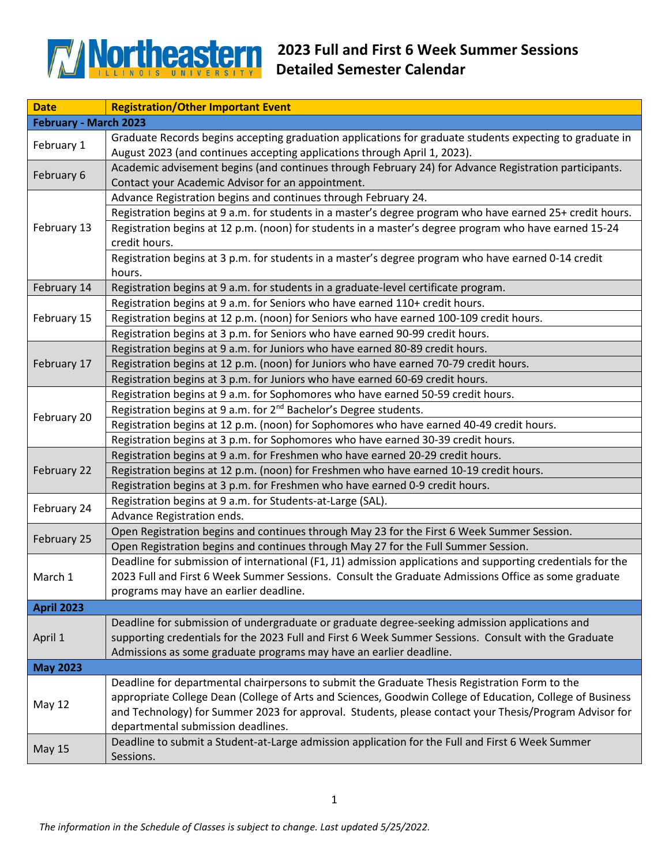

| <b>Date</b>           | <b>Registration/Other Important Event</b>                                                                                                                                             |  |
|-----------------------|---------------------------------------------------------------------------------------------------------------------------------------------------------------------------------------|--|
| February - March 2023 |                                                                                                                                                                                       |  |
| February 1            | Graduate Records begins accepting graduation applications for graduate students expecting to graduate in<br>August 2023 (and continues accepting applications through April 1, 2023). |  |
| February 6            | Academic advisement begins (and continues through February 24) for Advance Registration participants.                                                                                 |  |
|                       | Contact your Academic Advisor for an appointment.                                                                                                                                     |  |
| February 13           | Advance Registration begins and continues through February 24.                                                                                                                        |  |
|                       | Registration begins at 9 a.m. for students in a master's degree program who have earned 25+ credit hours.                                                                             |  |
|                       | Registration begins at 12 p.m. (noon) for students in a master's degree program who have earned 15-24                                                                                 |  |
|                       | credit hours.                                                                                                                                                                         |  |
|                       | Registration begins at 3 p.m. for students in a master's degree program who have earned 0-14 credit                                                                                   |  |
|                       | hours.                                                                                                                                                                                |  |
| February 14           | Registration begins at 9 a.m. for students in a graduate-level certificate program.                                                                                                   |  |
| February 15           | Registration begins at 9 a.m. for Seniors who have earned 110+ credit hours.                                                                                                          |  |
|                       | Registration begins at 12 p.m. (noon) for Seniors who have earned 100-109 credit hours.                                                                                               |  |
|                       | Registration begins at 3 p.m. for Seniors who have earned 90-99 credit hours.                                                                                                         |  |
| February 17           | Registration begins at 9 a.m. for Juniors who have earned 80-89 credit hours.                                                                                                         |  |
|                       | Registration begins at 12 p.m. (noon) for Juniors who have earned 70-79 credit hours.                                                                                                 |  |
|                       | Registration begins at 3 p.m. for Juniors who have earned 60-69 credit hours.                                                                                                         |  |
|                       | Registration begins at 9 a.m. for Sophomores who have earned 50-59 credit hours.                                                                                                      |  |
| February 20           | Registration begins at 9 a.m. for 2 <sup>nd</sup> Bachelor's Degree students.                                                                                                         |  |
|                       | Registration begins at 12 p.m. (noon) for Sophomores who have earned 40-49 credit hours.                                                                                              |  |
|                       | Registration begins at 3 p.m. for Sophomores who have earned 30-39 credit hours.                                                                                                      |  |
|                       | Registration begins at 9 a.m. for Freshmen who have earned 20-29 credit hours.                                                                                                        |  |
| February 22           | Registration begins at 12 p.m. (noon) for Freshmen who have earned 10-19 credit hours.                                                                                                |  |
|                       | Registration begins at 3 p.m. for Freshmen who have earned 0-9 credit hours.                                                                                                          |  |
| February 24           | Registration begins at 9 a.m. for Students-at-Large (SAL).                                                                                                                            |  |
|                       | Advance Registration ends.                                                                                                                                                            |  |
| February 25           | Open Registration begins and continues through May 23 for the First 6 Week Summer Session.                                                                                            |  |
|                       | Open Registration begins and continues through May 27 for the Full Summer Session.                                                                                                    |  |
|                       | Deadline for submission of international (F1, J1) admission applications and supporting credentials for the                                                                           |  |
| March 1               | 2023 Full and First 6 Week Summer Sessions. Consult the Graduate Admissions Office as some graduate                                                                                   |  |
|                       | programs may have an earlier deadline.                                                                                                                                                |  |
| <b>April 2023</b>     |                                                                                                                                                                                       |  |
|                       | Deadline for submission of undergraduate or graduate degree-seeking admission applications and                                                                                        |  |
| April 1               | supporting credentials for the 2023 Full and First 6 Week Summer Sessions. Consult with the Graduate                                                                                  |  |
|                       | Admissions as some graduate programs may have an earlier deadline.                                                                                                                    |  |
| <b>May 2023</b>       |                                                                                                                                                                                       |  |
|                       | Deadline for departmental chairpersons to submit the Graduate Thesis Registration Form to the                                                                                         |  |
| <b>May 12</b>         | appropriate College Dean (College of Arts and Sciences, Goodwin College of Education, College of Business                                                                             |  |
|                       | and Technology) for Summer 2023 for approval. Students, please contact your Thesis/Program Advisor for                                                                                |  |
|                       | departmental submission deadlines.                                                                                                                                                    |  |
| <b>May 15</b>         | Deadline to submit a Student-at-Large admission application for the Full and First 6 Week Summer                                                                                      |  |
|                       | Sessions.                                                                                                                                                                             |  |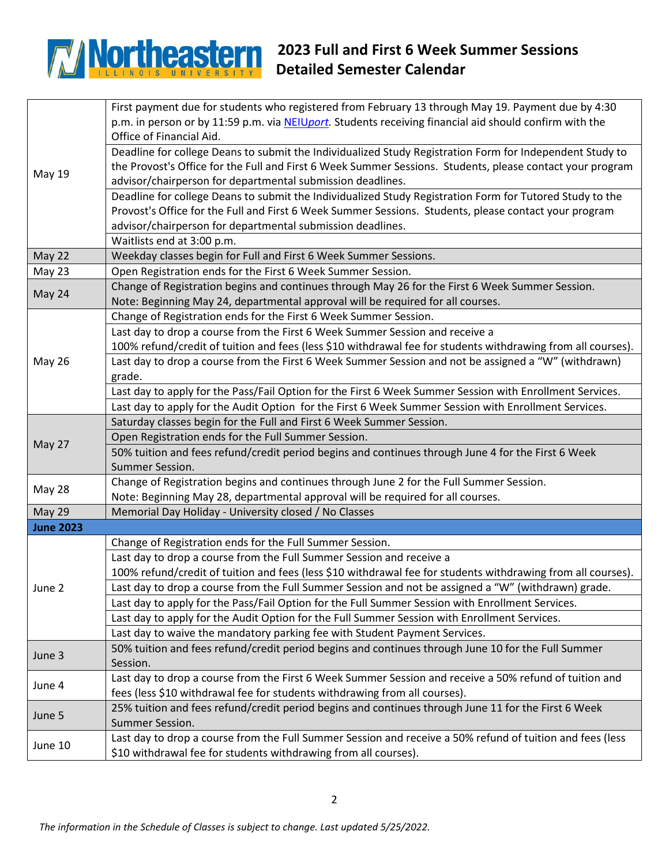## **2023 Full and First 6 Week Summer Sessions Detailed Semester Calendar**

|                  | First payment due for students who registered from February 13 through May 19. Payment due by 4:30           |
|------------------|--------------------------------------------------------------------------------------------------------------|
|                  | p.m. in person or by 11:59 p.m. via NEIUport. Students receiving financial aid should confirm with the       |
|                  | Office of Financial Aid.                                                                                     |
|                  | Deadline for college Deans to submit the Individualized Study Registration Form for Independent Study to     |
|                  | the Provost's Office for the Full and First 6 Week Summer Sessions. Students, please contact your program    |
| May 19           | advisor/chairperson for departmental submission deadlines.                                                   |
|                  | Deadline for college Deans to submit the Individualized Study Registration Form for Tutored Study to the     |
|                  | Provost's Office for the Full and First 6 Week Summer Sessions. Students, please contact your program        |
|                  | advisor/chairperson for departmental submission deadlines.                                                   |
|                  | Waitlists end at 3:00 p.m.                                                                                   |
| May 22           | Weekday classes begin for Full and First 6 Week Summer Sessions.                                             |
| May 23           | Open Registration ends for the First 6 Week Summer Session.                                                  |
| May 24           | Change of Registration begins and continues through May 26 for the First 6 Week Summer Session.              |
|                  | Note: Beginning May 24, departmental approval will be required for all courses.                              |
| <b>May 26</b>    | Change of Registration ends for the First 6 Week Summer Session.                                             |
|                  | Last day to drop a course from the First 6 Week Summer Session and receive a                                 |
|                  | 100% refund/credit of tuition and fees (less \$10 withdrawal fee for students withdrawing from all courses). |
|                  | Last day to drop a course from the First 6 Week Summer Session and not be assigned a "W" (withdrawn)         |
|                  | grade.                                                                                                       |
|                  | Last day to apply for the Pass/Fail Option for the First 6 Week Summer Session with Enrollment Services.     |
|                  | Last day to apply for the Audit Option for the First 6 Week Summer Session with Enrollment Services.         |
| May 27           | Saturday classes begin for the Full and First 6 Week Summer Session.                                         |
|                  | Open Registration ends for the Full Summer Session.                                                          |
|                  | 50% tuition and fees refund/credit period begins and continues through June 4 for the First 6 Week           |
|                  |                                                                                                              |
|                  | Summer Session.                                                                                              |
|                  | Change of Registration begins and continues through June 2 for the Full Summer Session.                      |
| May 28           | Note: Beginning May 28, departmental approval will be required for all courses.                              |
| <b>May 29</b>    | Memorial Day Holiday - University closed / No Classes                                                        |
| <b>June 2023</b> |                                                                                                              |
|                  | Change of Registration ends for the Full Summer Session.                                                     |
|                  | Last day to drop a course from the Full Summer Session and receive a                                         |
|                  | 100% refund/credit of tuition and fees (less \$10 withdrawal fee for students withdrawing from all courses). |
| June 2           | Last day to drop a course from the Full Summer Session and not be assigned a "W" (withdrawn) grade.          |
|                  | Last day to apply for the Pass/Fail Option for the Full Summer Session with Enrollment Services.             |
|                  | Last day to apply for the Audit Option for the Full Summer Session with Enrollment Services.                 |
|                  | Last day to waive the mandatory parking fee with Student Payment Services.                                   |
|                  | 50% tuition and fees refund/credit period begins and continues through June 10 for the Full Summer           |
| June 3           | Session.                                                                                                     |
|                  | Last day to drop a course from the First 6 Week Summer Session and receive a 50% refund of tuition and       |
| June 4           | fees (less \$10 withdrawal fee for students withdrawing from all courses).                                   |
|                  | 25% tuition and fees refund/credit period begins and continues through June 11 for the First 6 Week          |
| June 5           | Summer Session.                                                                                              |
| June 10          | Last day to drop a course from the Full Summer Session and receive a 50% refund of tuition and fees (less    |